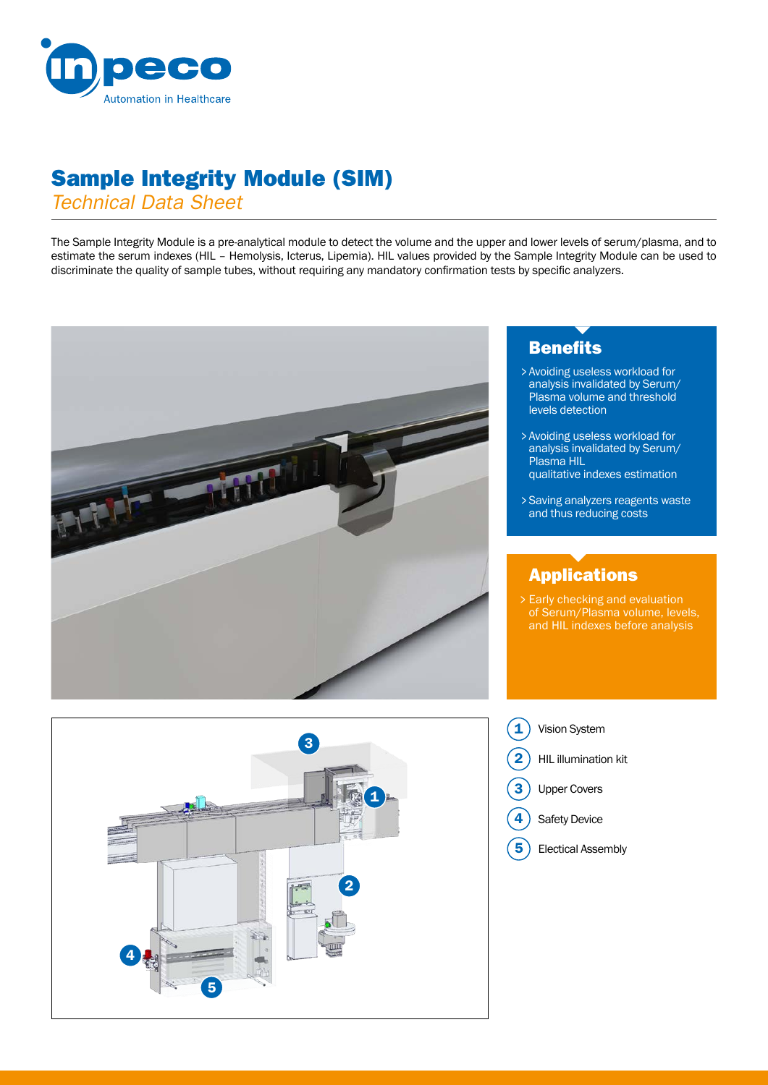

# Sample Integrity Module (SIM)

*Technical Data Sheet*

The Sample Integrity Module is a pre-analytical module to detect the volume and the upper and lower levels of serum/plasma, and to estimate the serum indexes (HIL – Hemolysis, Icterus, Lipemia). HIL values provided by the Sample Integrity Module can be used to discriminate the quality of sample tubes, without requiring any mandatory confirmation tests by specific analyzers.





### **Benefits**

- Avoiding useless workload for > analysis invalidated by Serum/ Plasma volume and threshold levels detection
- Avoiding useless workload for > analysis invalidated by Serum/ Plasma HIL qualitative indexes estimation
- Saving analyzers reagents waste > and thus reducing costs

## Applications

Early checking and evaluation > of Serum/Plasma volume, levels, and HIL indexes before analysis